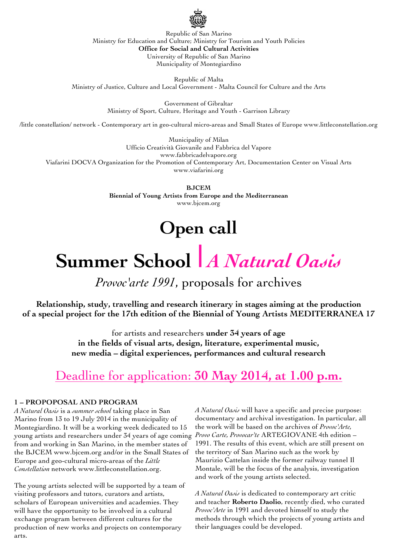

Republic of San Marino Ministry for Education and Culture; Ministry for Tourism and Youth Policies **Office for Social and Cultural Activities** University of Republic of San Marino Municipality of Montegiardino

Republic of Malta Ministry of Justice, Culture and Local Government - Malta Council for Culture and the Arts

> Government of Gibraltar Ministry of Sport, Culture, Heritage and Youth - Garrison Library

/little constellation/ network - Contemporary art in geo-cultural micro-areas and Small States of Europe www.littleconstellation.org

Municipality of Milan Ufficio Creatività Giovanile and Fabbrica del Vapore www.fabbricadelvapore.org Viafarini DOCVA Organization for the Promotion of Contemporary Art, Documentation Center on Visual Arts www.viafarini.org

> **BJCEM Biennial of Young Artists from Europe and the Mediterranean** www.bjcem.org

## **Open call**

# **Summer School** *| A Natural Oasis*

*Provoc'arte 1991*, proposals for archives

**Relationship, study, travelling and research itinerary in stages aiming at the production of a special project for the 17th edition of the Biennial of Young Artists MEDITERRANEA 17**

> for artists and researchers **under 34 years of age in the fields of visual arts, design, literature, experimental music, new media – digital experiences, performances and cultural research**

## Deadline for application: **30 May 2014, at 1.00 p.m.**

#### **1 – PROPOPOSAL AND PROGRAM**

*A Natural Oasis* is a *summer school* taking place in San Marino from 13 to 19 July 2014 in the municipality of Montegiardino. It will be a working week dedicated to 15 young artists and researchers under 34 years of age coming *Provo Carte, Provocar'te* ARTEGIOVANE 4th edition – from and working in San Marino, in the member states of the BJCEM www.bjcem.org and/or in the Small States of Europe and geo-cultural micro-areas of the *Little Constellation* network www.littleconstellation.org.

The young artists selected will be supported by a team of visiting professors and tutors, curators and artists, scholars of European universities and academies. They will have the opportunity to be involved in a cultural exchange program between different cultures for the production of new works and projects on contemporary arts.

*A Natural Oasis* will have a specific and precise purpose: documentary and archival investigation. In particular, all the work will be based on the archives of *Provoc'Arte,*  1991. The results of this event, which are still present on the territory of San Marino such as the work by Maurizio Cattelan inside the former railway tunnel Il Montale, will be the focus of the analysis, investigation and work of the young artists selected.

*A Natural Oasis* is dedicated to contemporary art critic and teacher **Roberto Daolio**, recently died, who curated *Provoc'Arte* in 1991 and devoted himself to study the methods through which the projects of young artists and their languages could be developed.